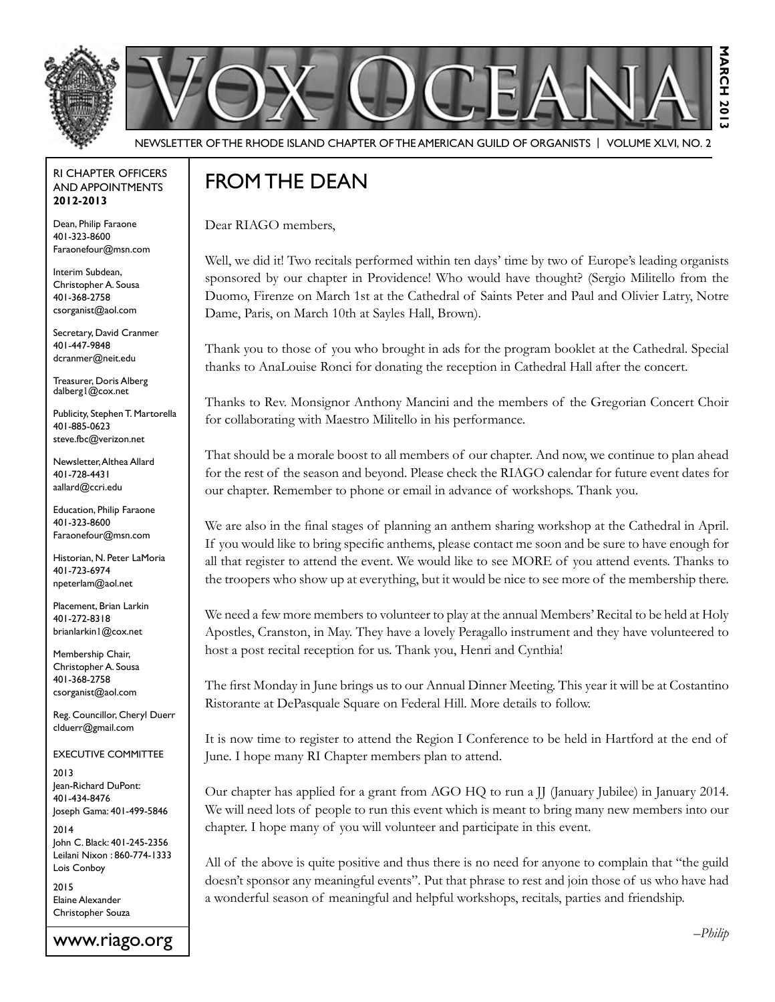



Newsletter of the Rhode Island Chapter of the American Guild of OrganistS | Volume XLVI, No. 2

#### RI Chapter Officers and Appointments **2012-2013**

Dean, Philip Faraone 401-323-8600 Faraonefour@msn.com

Interim Subdean, Christopher A. Sousa 401-368-2758 csorganist@aol.com

Secretary, David Cranmer 401-447-9848 dcranmer@neit.edu

Treasurer, Doris Alberg dalberg1@cox.net

Publicity, Stephen T. Martorella 401-885-0623 steve.fbc@verizon.net

Newsletter, Althea Allard 401-728-4431 aallard@ccri.edu

Education, Philip Faraone 401-323-8600 Faraonefour@msn.com

Historian, N. Peter LaMoria 401-723-6974 npeterlam@aol.net

Placement, Brian Larkin 401-272-8318 brianlarkin1@cox.net

Membership Chair, Christopher A. Sousa 401-368-2758 csorganist@aol.com

Reg. Councillor, Cheryl Duerr clduerr@gmail.com

Executive Committee

2013 Jean-Richard DuPont: 401-434-8476 Joseph Gama: 401-499-5846

2014 John C. Black: 401-245-2356 Leilani Nixon : 860-774-1333 Lois Conboy

2015 Elaine Alexander Christopher Souza

# FROM THE DEAN

Dear RIAGO members,

Well, we did it! Two recitals performed within ten days' time by two of Europe's leading organists sponsored by our chapter in Providence! Who would have thought? (Sergio Militello from the Duomo, Firenze on March 1st at the Cathedral of Saints Peter and Paul and Olivier Latry, Notre Dame, Paris, on March 10th at Sayles Hall, Brown).

Thank you to those of you who brought in ads for the program booklet at the Cathedral. Special thanks to AnaLouise Ronci for donating the reception in Cathedral Hall after the concert.

Thanks to Rev. Monsignor Anthony Mancini and the members of the Gregorian Concert Choir for collaborating with Maestro Militello in his performance.

That should be a morale boost to all members of our chapter. And now, we continue to plan ahead for the rest of the season and beyond. Please check the RIAGO calendar for future event dates for our chapter. Remember to phone or email in advance of workshops. Thank you.

We are also in the final stages of planning an anthem sharing workshop at the Cathedral in April. If you would like to bring specific anthems, please contact me soon and be sure to have enough for all that register to attend the event. We would like to see MORE of you attend events. Thanks to the troopers who show up at everything, but it would be nice to see more of the membership there.

We need a few more members to volunteer to play at the annual Members' Recital to be held at Holy Apostles, Cranston, in May. They have a lovely Peragallo instrument and they have volunteered to host a post recital reception for us. Thank you, Henri and Cynthia!

The first Monday in June brings us to our Annual Dinner Meeting. This year it will be at Costantino Ristorante at DePasquale Square on Federal Hill. More details to follow.

It is now time to register to attend the Region I Conference to be held in Hartford at the end of June. I hope many RI Chapter members plan to attend.

Our chapter has applied for a grant from AGO HQ to run a JJ (January Jubilee) in January 2014. We will need lots of people to run this event which is meant to bring many new members into our chapter. I hope many of you will volunteer and participate in this event.

All of the above is quite positive and thus there is no need for anyone to complain that "the guild doesn't sponsor any meaningful events". Put that phrase to rest and join those of us who have had a wonderful season of meaningful and helpful workshops, recitals, parties and friendship.

**March 2013**

 $-201$ 

**NANCH**